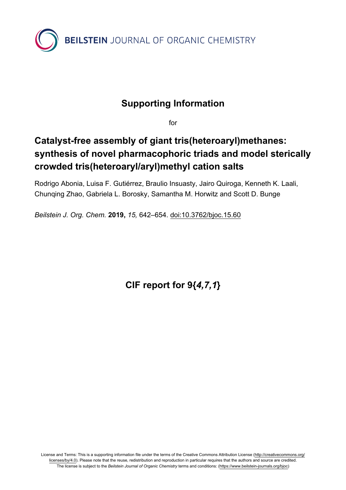

## **Supporting Information**

for

# **Catalyst-free assembly of giant tris(heteroaryl)methanes: synthesis of novel pharmacophoric triads and model sterically crowded tris(heteroaryl/aryl)methyl cation salts**

Rodrigo Abonia, Luisa F. Gutiérrez, Braulio Insuasty, Jairo Quiroga, Kenneth K. Laali, Chunqing Zhao, Gabriela L. Borosky, Samantha M. Horwitz and Scott D. Bunge

*Beilstein J. Org. Chem.* **2019,** *15,* 642–654. [doi:10.3762/bjoc.15.60](https://doi.org/10.3762%2Fbjoc.15.60)

**CIF report for 9{***4,7,1***}**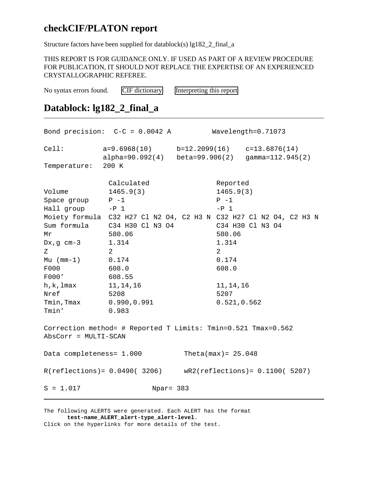### **checkCIF/PLATON report**

Structure factors have been supplied for datablock(s) lg182\_2\_final\_a

THIS REPORT IS FOR GUIDANCE ONLY. IF USED AS PART OF A REVIEW PROCEDURE FOR PUBLICATION, IT SHOULD NOT REPLACE THE EXPERTISE OF AN EXPERIENCED CRYSTALLOGRAPHIC REFEREE.

No syntax errors found. [CIF dictionary](http://www.iucr.org/iucr-top/cif/cif_core/definitions/index.html) [Interpreting this report](http://journals.iucr.org/services/cif/checking/checkcifreport.html)

### **Datablock: lg182\_2\_final\_a**

Bond precision: C-C = 0.0042 A Wavelength=0.71073 Cell: a=9.6968(10) b=12.2099(16) c=13.6876(14) alpha=90.092(4) beta=99.906(2) gamma=112.945(2) Temperature: 200 K Calculated Reported Volume 1465.9(3) 1465.9(3) Space group  $P -1$   $P -1$ Hall group  $-P_1$   $-P_2$ Moiety formula C32 H27 Cl N2 O4, C2 H3 N C32 H27 Cl N2 O4, C2 H3 N Sum formula C34 H30 Cl N3 O4 C34 H30 Cl N3 O4 Mr 580.06 580.06 Dx, g cm-3 1.314 1.314  $Z$  2 2 2 Mu (mm-1) 0.174 0.174 F000 608.0 608.0 F000' 608.55 h, k, lmax 11, 14, 16 11, 14, 16 Nref 5208 5207 Tmin, Tmax 0.990, 0.991 0.521, 0.562 Tmin' 0.983 Correction method= # Reported T Limits: Tmin=0.521 Tmax=0.562 AbsCorr = MULTI-SCAN Data completeness= 1.000 Theta(max)= 25.048 R(reflections)= 0.0490( 3206) wR2(reflections)= 0.1100( 5207) S = 1.017 Npar = 383

The following ALERTS were generated. Each ALERT has the format **test-name\_ALERT\_alert-type\_alert-level**. Click on the hyperlinks for more details of the test.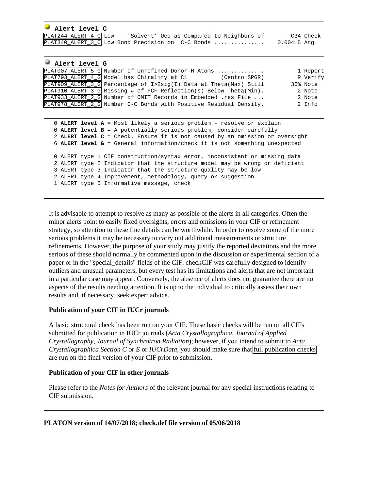| Alert level C                                     |                                           |  |              |
|---------------------------------------------------|-------------------------------------------|--|--------------|
| PLAT244 ALERT 4 C Low                             | 'Solvent' Ueg as Compared to Neighbors of |  | C34 Check    |
| PLAT340 ALERT 3 C Low Bond Precision on C-C Bonds |                                           |  | 0.00415 Ang. |

#### **Alert level G**

| PLAT007_ALERT_5_G_Number_of_Unrefined_Donor-H_Atoms                | 1 Report |
|--------------------------------------------------------------------|----------|
| PLAT793 ALERT 4 G Model has Chirality at C1<br>(Centro SPGR)       | R Verify |
| PLAT909 ALERT 3 G Percentage of I>2sig(I) Data at Theta(Max) Still | 36% Note |
| PLAT910 ALERT 3 G Missing # of FCF Reflection(s) Below Theta(Min). | 2 Note   |
| PLAT933 ALERT 2 G Number of OMIT Records in Embedded .res File     | 2 Note   |
| PLAT978 ALERT 2 G Number C-C Bonds with Positive Residual Density. | 2 Info   |

```
 0 ALERT level A = Most likely a serious problem - resolve or explain
0 ALERT level B = A potentially serious problem, consider carefully
2 ALERT level C = Check. Ensure it is not caused by an omission or oversight
6 ALERT level G = General information/check it is not something unexpected
0 ALERT type 1 CIF construction/syntax error, inconsistent or missing data
2 ALERT type 2 Indicator that the structure model may be wrong or deficient
3 ALERT type 3 Indicator that the structure quality may be low
2 ALERT type 4 Improvement, methodology, query or suggestion
1 ALERT type 5 Informative message, check
```
It is advisable to attempt to resolve as many as possible of the alerts in all categories. Often the minor alerts point to easily fixed oversights, errors and omissions in your CIF or refinement strategy, so attention to these fine details can be worthwhile. In order to resolve some of the more serious problems it may be necessary to carry out additional measurements or structure refinements. However, the purpose of your study may justify the reported deviations and the more serious of these should normally be commented upon in the discussion or experimental section of a paper or in the "special\_details" fields of the CIF. checkCIF was carefully designed to identify outliers and unusual parameters, but every test has its limitations and alerts that are not important in a particular case may appear. Conversely, the absence of alerts does not guarantee there are no aspects of the results needing attention. It is up to the individual to critically assess their own results and, if necessary, seek expert advice.

#### **Publication of your CIF in IUCr journals**

A basic structural check has been run on your CIF. These basic checks will be run on all CIFs submitted for publication in IUCr journals (*Acta Crystallographica*, *Journal of Applied Crystallography*, *Journal of Synchrotron Radiation*); however, if you intend to submit to *Acta Crystallographica Section C* or *E* or *IUCrData*, you should make sure that [full publication checks](http://journals.iucr.org/services/cif/checking/checkform.html) are run on the final version of your CIF prior to submission.

#### **Publication of your CIF in other journals**

Please refer to the *Notes for Authors* of the relevant journal for any special instructions relating to CIF submission.

#### **PLATON version of 14/07/2018; check.def file version of 05/06/2018**